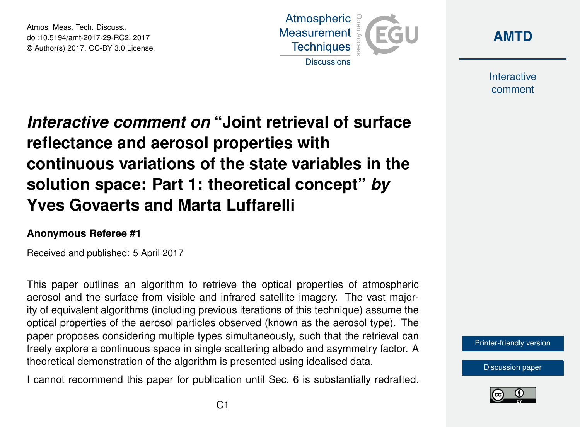Atmos. Meas. Tech. Discuss., doi:10.5194/amt-2017-29-RC2, 2017 © Author(s) 2017. CC-BY 3.0 License.





**Interactive** comment

# *Interactive comment on* **"Joint retrieval of surface reflectance and aerosol properties with continuous variations of the state variables in the solution space: Part 1: theoretical concept"** *by* **Yves Govaerts and Marta Luffarelli**

#### **Anonymous Referee #1**

Received and published: 5 April 2017

This paper outlines an algorithm to retrieve the optical properties of atmospheric aerosol and the surface from visible and infrared satellite imagery. The vast majority of equivalent algorithms (including previous iterations of this technique) assume the optical properties of the aerosol particles observed (known as the aerosol type). The paper proposes considering multiple types simultaneously, such that the retrieval can freely explore a continuous space in single scattering albedo and asymmetry factor. A theoretical demonstration of the algorithm is presented using idealised data.

I cannot recommend this paper for publication until Sec. 6 is substantially redrafted.



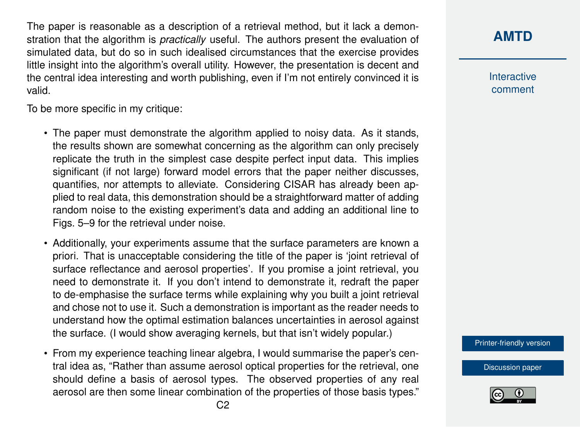The paper is reasonable as a description of a retrieval method, but it lack a demonstration that the algorithm is *practically* useful. The authors present the evaluation of simulated data, but do so in such idealised circumstances that the exercise provides little insight into the algorithm's overall utility. However, the presentation is decent and the central idea interesting and worth publishing, even if I'm not entirely convinced it is valid.

To be more specific in my critique:

- The paper must demonstrate the algorithm applied to noisy data. As it stands, the results shown are somewhat concerning as the algorithm can only precisely replicate the truth in the simplest case despite perfect input data. This implies significant (if not large) forward model errors that the paper neither discusses, quantifies, nor attempts to alleviate. Considering CISAR has already been applied to real data, this demonstration should be a straightforward matter of adding random noise to the existing experiment's data and adding an additional line to Figs. 5–9 for the retrieval under noise.
- Additionally, your experiments assume that the surface parameters are known a priori. That is unacceptable considering the title of the paper is 'joint retrieval of surface reflectance and aerosol properties'. If you promise a joint retrieval, you need to demonstrate it. If you don't intend to demonstrate it, redraft the paper to de-emphasise the surface terms while explaining why you built a joint retrieval and chose not to use it. Such a demonstration is important as the reader needs to understand how the optimal estimation balances uncertainties in aerosol against the surface. (I would show averaging kernels, but that isn't widely popular.)
- From my experience teaching linear algebra, I would summarise the paper's central idea as, "Rather than assume aerosol optical properties for the retrieval, one should define a basis of aerosol types. The observed properties of any real aerosol are then some linear combination of the properties of those basis types."

**[AMTD](http://www.atmos-meas-tech-discuss.net/)**

**Interactive** comment

[Printer-friendly version](http://www.atmos-meas-tech-discuss.net/amt-2017-29/amt-2017-29-RC2-print.pdf)

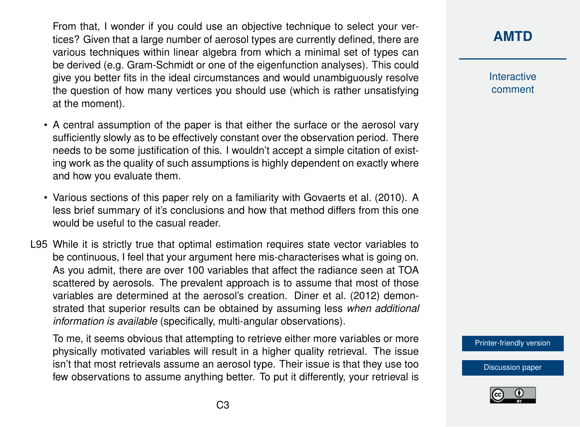From that, I wonder if you could use an objective technique to select your vertices? Given that a large number of aerosol types are currently defined, there are various techniques within linear algebra from which a minimal set of types can be derived (e.g. Gram-Schmidt or one of the eigenfunction analyses). This could give you better fits in the ideal circumstances and would unambiguously resolve the question of how many vertices you should use (which is rather unsatisfying at the moment).

- A central assumption of the paper is that either the surface or the aerosol vary sufficiently slowly as to be effectively constant over the observation period. There needs to be some justification of this. I wouldn't accept a simple citation of existing work as the quality of such assumptions is highly dependent on exactly where and how you evaluate them.
- Various sections of this paper rely on a familiarity with [Govaerts et al.](#page-9-0) [\(2010\)](#page-9-0). A less brief summary of it's conclusions and how that method differs from this one would be useful to the casual reader.
- L95 While it is strictly true that optimal estimation requires state vector variables to be continuous, I feel that your argument here mis-characterises what is going on. As you admit, there are over 100 variables that affect the radiance seen at TOA scattered by aerosols. The prevalent approach is to assume that most of those variables are determined at the aerosol's creation. [Diner et al.](#page-9-0) [\(2012\)](#page-9-0) demonstrated that superior results can be obtained by assuming less *when additional information is available* (specifically, multi-angular observations).

To me, it seems obvious that attempting to retrieve either more variables or more physically motivated variables will result in a higher quality retrieval. The issue isn't that most retrievals assume an aerosol type. Their issue is that they use too few observations to assume anything better. To put it differently, your retrieval is **[AMTD](http://www.atmos-meas-tech-discuss.net/)**

Interactive comment

[Printer-friendly version](http://www.atmos-meas-tech-discuss.net/amt-2017-29/amt-2017-29-RC2-print.pdf)

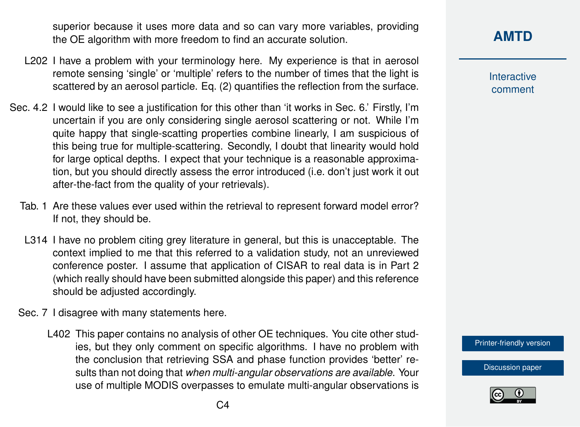superior because it uses more data and so can vary more variables, providing the OE algorithm with more freedom to find an accurate solution.

- L202 I have a problem with your terminology here. My experience is that in aerosol remote sensing 'single' or 'multiple' refers to the number of times that the light is scattered by an aerosol particle. Eq. (2) quantifies the reflection from the surface.
- Sec. 4.2 I would like to see a justification for this other than 'it works in Sec. 6.' Firstly, I'm uncertain if you are only considering single aerosol scattering or not. While I'm quite happy that single-scatting properties combine linearly, I am suspicious of this being true for multiple-scattering. Secondly, I doubt that linearity would hold for large optical depths. I expect that your technique is a reasonable approximation, but you should directly assess the error introduced (i.e. don't just work it out after-the-fact from the quality of your retrievals).
	- Tab. 1 Are these values ever used within the retrieval to represent forward model error? If not, they should be.
	- L314 I have no problem citing grey literature in general, but this is unacceptable. The context implied to me that this referred to a validation study, not an unreviewed conference poster. I assume that application of CISAR to real data is in Part 2 (which really should have been submitted alongside this paper) and this reference should be adjusted accordingly.
	- Sec. 7 I disagree with many statements here.
		- L402 This paper contains no analysis of other OE techniques. You cite other studies, but they only comment on specific algorithms. I have no problem with the conclusion that retrieving SSA and phase function provides 'better' results than not doing that *when multi-angular observations are available*. Your use of multiple MODIS overpasses to emulate multi-angular observations is

Interactive comment

[Printer-friendly version](http://www.atmos-meas-tech-discuss.net/amt-2017-29/amt-2017-29-RC2-print.pdf)

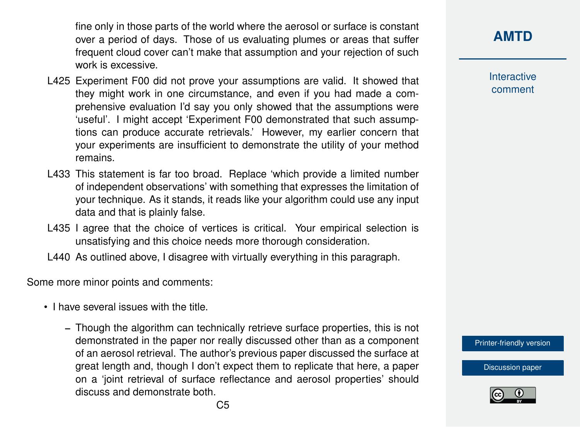fine only in those parts of the world where the aerosol or surface is constant over a period of days. Those of us evaluating plumes or areas that suffer frequent cloud cover can't make that assumption and your rejection of such work is excessive.

- L425 Experiment F00 did not prove your assumptions are valid. It showed that they might work in one circumstance, and even if you had made a comprehensive evaluation I'd say you only showed that the assumptions were 'useful'. I might accept 'Experiment F00 demonstrated that such assumptions can produce accurate retrievals.' However, my earlier concern that your experiments are insufficient to demonstrate the utility of your method remains.
- L433 This statement is far too broad. Replace 'which provide a limited number of independent observations' with something that expresses the limitation of your technique. As it stands, it reads like your algorithm could use any input data and that is plainly false.
- L435 I agree that the choice of vertices is critical. Your empirical selection is unsatisfying and this choice needs more thorough consideration.
- L440 As outlined above, I disagree with virtually everything in this paragraph.

Some more minor points and comments:

- I have several issues with the title.
	- Though the algorithm can technically retrieve surface properties, this is not demonstrated in the paper nor really discussed other than as a component of an aerosol retrieval. The author's previous paper discussed the surface at great length and, though I don't expect them to replicate that here, a paper on a 'joint retrieval of surface reflectance and aerosol properties' should discuss and demonstrate both.

**Interactive** comment

[Printer-friendly version](http://www.atmos-meas-tech-discuss.net/amt-2017-29/amt-2017-29-RC2-print.pdf)

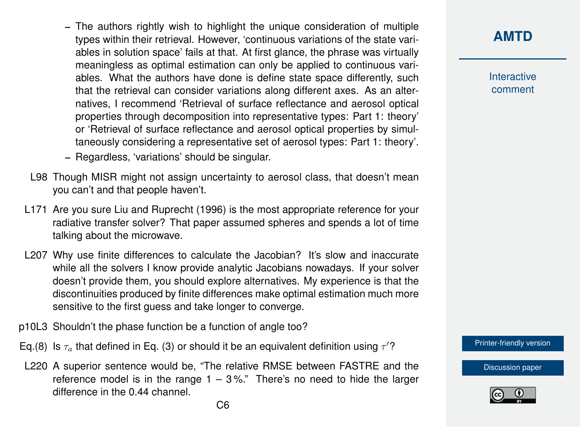- The authors rightly wish to highlight the unique consideration of multiple types within their retrieval. However, 'continuous variations of the state variables in solution space' fails at that. At first glance, the phrase was virtually meaningless as optimal estimation can only be applied to continuous variables. What the authors have done is define state space differently, such that the retrieval can consider variations along different axes. As an alternatives, I recommend 'Retrieval of surface reflectance and aerosol optical properties through decomposition into representative types: Part 1: theory' or 'Retrieval of surface reflectance and aerosol optical properties by simultaneously considering a representative set of aerosol types: Part 1: theory'.
- Regardless, 'variations' should be singular.
- L98 Though MISR might not assign uncertainty to aerosol class, that doesn't mean you can't and that people haven't.
- L171 Are you sure [Liu and Ruprecht](#page-9-0) [\(1996\)](#page-9-0) is the most appropriate reference for your radiative transfer solver? That paper assumed spheres and spends a lot of time talking about the microwave.
- L207 Why use finite differences to calculate the Jacobian? It's slow and inaccurate while all the solvers I know provide analytic Jacobians nowadays. If your solver doesn't provide them, you should explore alternatives. My experience is that the discontinuities produced by finite differences make optimal estimation much more sensitive to the first guess and take longer to converge.
- p10L3 Shouldn't the phase function be a function of angle too?
- Eq.(8) Is  $\tau_a$  that defined in Eq. (3) or should it be an equivalent definition using  $\tau'$ ?
- L220 A superior sentence would be, "The relative RMSE between FASTRE and the reference model is in the range  $1 - 3\%$ ." There's no need to hide the larger difference in the 0.44 channel.

**Interactive** comment

[Printer-friendly version](http://www.atmos-meas-tech-discuss.net/amt-2017-29/amt-2017-29-RC2-print.pdf)

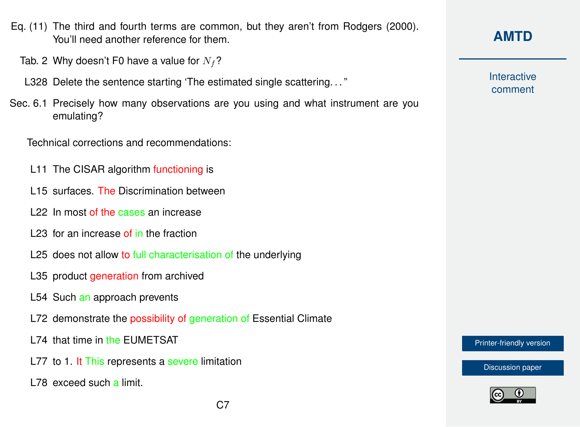- Eq. (11) The third and fourth terms are common, but they aren't from [Rodgers](#page-9-0) [\(2000\)](#page-9-0). You'll need another reference for them.
	- Tab. 2 Why doesn't F0 have a value for  $N_f$ ?
	- L328 Delete the sentence starting 'The estimated single scattering. . . "
- Sec. 6.1 Precisely how many observations are you using and what instrument are you emulating?

Technical corrections and recommendations:

- L11 The CISAR algorithm functioning is
- L<sub>15</sub> surfaces. The Discrimination between
- L22 In most of the cases an increase
- L23 for an increase of in the fraction
- L25 does not allow to full characterisation of the underlying
- L35 product *generation* from archived
- L54 Such an approach prevents
- L72 demonstrate the possibility of generation of Essential Climate
- L74 that time in the EUMETSAT
- L77 to 1. It This represents a severe limitation
- L78 exceed such a limit.

**Interactive** comment

[Printer-friendly version](http://www.atmos-meas-tech-discuss.net/amt-2017-29/amt-2017-29-RC2-print.pdf)

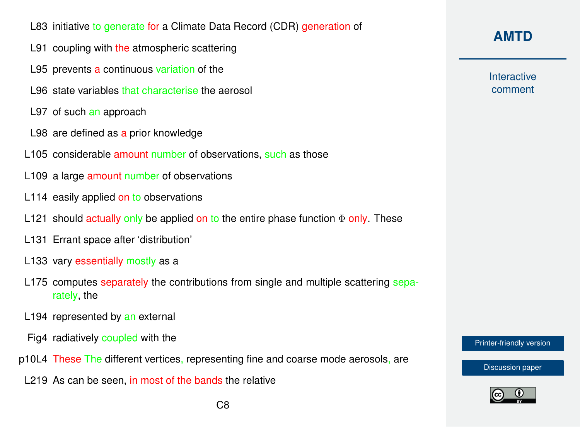- L83 initiative to generate for a Climate Data Record (CDR) generation of
- L91 coupling with the atmospheric scattering
- L95 prevents a continuous variation of the
- L96 state variables that characterise the aerosol
- L97 of such an approach
- L98 are defined as a prior knowledge
- L105 considerable amount number of observations, such as those
- L109 a large amount number of observations
- L114 easily applied on to observations
- L121 should actually only be applied on to the entire phase function  $\Phi$  only. These
- L131 Errant space after 'distribution'
- L133 vary essentially mostly as a
- L175 computes separately the contributions from single and multiple scattering separately, the
- L194 represented by an external
- Fig4 radiatively coupled with the
- p10L4 These The different vertices, representing fine and coarse mode aerosols, are
- L219 As can be seen, in most of the bands the relative

## **[AMTD](http://www.atmos-meas-tech-discuss.net/)**

**Interactive** comment

[Printer-friendly version](http://www.atmos-meas-tech-discuss.net/amt-2017-29/amt-2017-29-RC2-print.pdf)

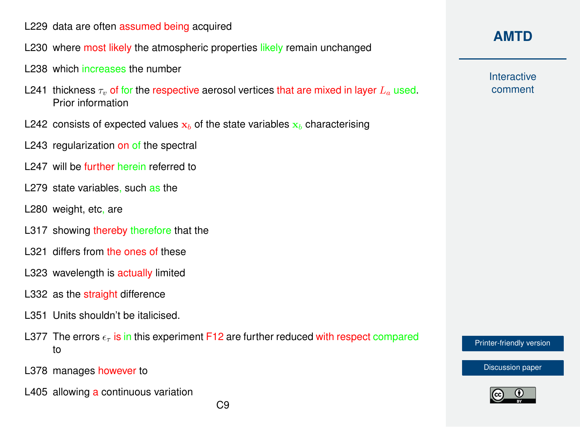- L229 data are often assumed being acquired
- L230 where most likely the atmospheric properties likely remain unchanged
- L238 which increases the number
- L241 thickness  $\tau_{v}$  of for the respective aerosol vertices that are mixed in layer  $L_{a}$  used. Prior information
- L242 consists of expected values  $x_b$  of the state variables  $x_b$  characterising
- L243 regularization on of the spectral
- L<sub>247</sub> will be further herein referred to
- L<sub>279</sub> state variables, such as the
- L280 weight, etc, are
- L317 showing thereby therefore that the
- L321 differs from the ones of these
- L323 wavelength is actually limited
- L332 as the straight difference
- L351 Units shouldn't be italicised.
- L377 The errors  $\epsilon_{\tau}$  is in this experiment F12 are further reduced with respect compared to
- L378 manages however to
- L405 allowing a continuous variation

**Interactive** comment

[Printer-friendly version](http://www.atmos-meas-tech-discuss.net/amt-2017-29/amt-2017-29-RC2-print.pdf)